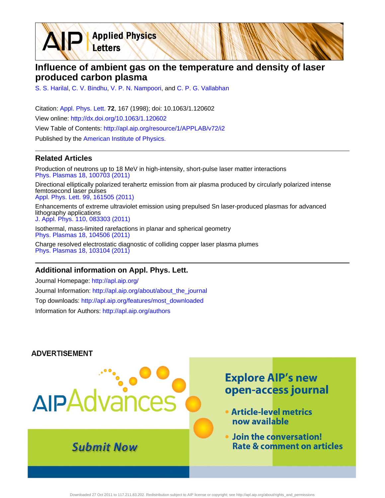**Applied Physics** Letters

## **Influence of ambient gas on the temperature and density of laser produced carbon plasma**

[S. S. Harilal,](http://apl.aip.org/search?sortby=newestdate&q=&searchzone=2&searchtype=searchin&faceted=faceted&key=AIP_ALL&possible1=S. S. Harilal&possible1zone=author&alias=&displayid=AIP&ver=pdfcov) [C. V. Bindhu](http://apl.aip.org/search?sortby=newestdate&q=&searchzone=2&searchtype=searchin&faceted=faceted&key=AIP_ALL&possible1=C. V. Bindhu&possible1zone=author&alias=&displayid=AIP&ver=pdfcov), [V. P. N. Nampoori,](http://apl.aip.org/search?sortby=newestdate&q=&searchzone=2&searchtype=searchin&faceted=faceted&key=AIP_ALL&possible1=V. P. N. Nampoori&possible1zone=author&alias=&displayid=AIP&ver=pdfcov) and [C. P. G. Vallabhan](http://apl.aip.org/search?sortby=newestdate&q=&searchzone=2&searchtype=searchin&faceted=faceted&key=AIP_ALL&possible1=C. P. G. Vallabhan&possible1zone=author&alias=&displayid=AIP&ver=pdfcov)

Citation: [Appl. Phys. Lett.](http://apl.aip.org/?ver=pdfcov) **72**, 167 (1998); doi: 10.1063/1.120602 View online: [http://dx.doi.org/10.1063/1.120602](http://link.aip.org/link/doi/10.1063/1.120602?ver=pdfcov) View Table of Contents: [http://apl.aip.org/resource/1/APPLAB/v72/i2](http://apl.aip.org/resource/1/APPLAB/v72/i2?ver=pdfcov) Published by the [American Institute of Physics.](http://www.aip.org/?ver=pdfcov)

### **Related Articles**

Production of neutrons up to 18 MeV in high-intensity, short-pulse laser matter interactions [Phys. Plasmas 18, 100703 \(2011\)](http://link.aip.org/link/doi/10.1063/1.3654040?ver=pdfcov)

Directional elliptically polarized terahertz emission from air plasma produced by circularly polarized intense femtosecond laser pulses [Appl. Phys. Lett. 99, 161505 \(2011\)](http://link.aip.org/link/doi/10.1063/1.3651764?ver=pdfcov)

Enhancements of extreme ultraviolet emission using prepulsed Sn laser-produced plasmas for advanced lithography applications [J. Appl. Phys. 110, 083303 \(2011\)](http://link.aip.org/link/doi/10.1063/1.3647779?ver=pdfcov)

Isothermal, mass-limited rarefactions in planar and spherical geometry [Phys. Plasmas 18, 104506 \(2011\)](http://link.aip.org/link/doi/10.1063/1.3642612?ver=pdfcov)

Charge resolved electrostatic diagnostic of colliding copper laser plasma plumes [Phys. Plasmas 18, 103104 \(2011\)](http://link.aip.org/link/doi/10.1063/1.3633486?ver=pdfcov)

#### **Additional information on Appl. Phys. Lett.**

Journal Homepage: [http://apl.aip.org/](http://apl.aip.org/?ver=pdfcov) Journal Information: [http://apl.aip.org/about/about\\_the\\_journal](http://apl.aip.org/about/about_the_journal?ver=pdfcov) Top downloads: [http://apl.aip.org/features/most\\_downloaded](http://apl.aip.org/features/most_downloaded?ver=pdfcov) Information for Authors: [http://apl.aip.org/authors](http://apl.aip.org/authors?ver=pdfcov)

#### **ADVERTISEMENT**

# **Explore AIP's new** open-access journal AIPAdvar • Article-level metrics now available . Join the conversation! **Submit Now Rate & comment on articles**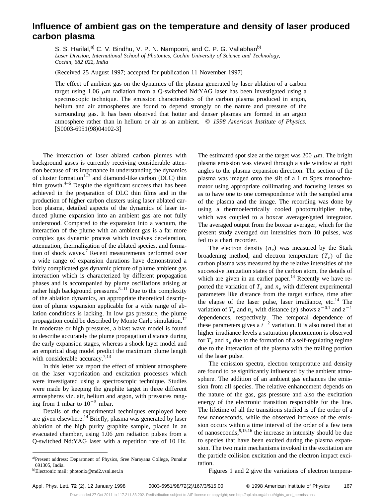## **Influence of ambient gas on the temperature and density of laser produced carbon plasma**

S. S. Harilal,<sup>a)</sup> C. V. Bindhu, V. P. N. Nampoori, and C. P. G. Vallabhan<sup>b)</sup> *Laser Division, International School of Photonics, Cochin University of Science and Technology, Cochin, 682 022, India*

(Received 25 August 1997; accepted for publication 11 November 1997)

The effect of ambient gas on the dynamics of the plasma generated by laser ablation of a carbon target using  $1.06 \mu m$  radiation from a Q-switched Nd:YAG laser has been investigated using a spectroscopic technique. The emission characteristics of the carbon plasma produced in argon, helium and air atmospheres are found to depend strongly on the nature and pressure of the surrounding gas. It has been observed that hotter and denser plasmas are formed in an argon atmosphere rather than in helium or air as an ambient. © *1998 American Institute of Physics.*  $[50003-6951(98)04102-3]$ 

The interaction of laser ablated carbon plumes with background gases is currently receiving considerable attention because of its importance in understanding the dynamics of cluster formation<sup>1-3</sup> and diamond-like carbon (DLC) thin film growth. $4-6$  Despite the significant success that has been achieved in the preparation of DLC thin films and in the production of higher carbon clusters using laser ablated carbon plasma, detailed aspects of the dynamics of laser induced plume expansion into an ambient gas are not fully understood. Compared to the expansion into a vacuum, the interaction of the plume with an ambient gas is a far more complex gas dynamic process which involves deceleration, attenuation, thermalization of the ablated species, and formation of shock waves.<sup>7</sup> Recent measurements performed over a wide range of expansion durations have demonstrated a fairly complicated gas dynamic picture of plume ambient gas interaction which is characterized by different propagation phases and is accompanied by plume oscillations arising at rather high background pressures. $8-11$  Due to the complexity of the ablation dynamics, an appropriate theoretical description of plume expansion applicable for a wide range of ablation conditions is lacking. In low gas pressure, the plume propagation could be described by Monte Carlo simulation.<sup>12</sup> In moderate or high pressures, a blast wave model is found to describe accurately the plume propagation distance during the early expansion stages, whereas a shock layer model and an empirical drag model predict the maximum plume length with considerable accuracy. $7,13$ 

In this letter we report the effect of ambient atmosphere on the laser vaporization and excitation processes which were investigated using a spectroscopic technique. Studies were made by keeping the graphite target in three different atmospheres viz. air, helium and argon, with pressures ranging from 1 mbar to  $10^{-5}$  mbar.

Details of the experimental techniques employed here are given elsewhere.<sup>14</sup> Briefly, plasma was generated by laser ablation of the high purity graphite sample, placed in an evacuated chamber, using 1.06  $\mu$ m radiation pulses from a Q-switched Nd:YAG laser with a repetition rate of 10 Hz. The estimated spot size at the target was 200  $\mu$ m. The bright plasma emission was viewed through a side window at right angles to the plasma expansion direction. The section of the plasma was imaged onto the slit of a 1 m Spex monochromator using appropriate collimating and focusing lenses so as to have one to one correspondence with the sampled area of the plasma and the image. The recording was done by using a thermoelectrically cooled photomultiplier tube, which was coupled to a boxcar averager/gated integrator. The averaged output from the boxcar averager, which for the present study averaged out intensities from 10 pulses, was fed to a chart recorder.

The electron density  $(n_e)$  was measured by the Stark broadening method, and electron temperature  $(T_e)$  of the carbon plasma was measured by the relative intensities of the successive ionization states of the carbon atom, the details of which are given in an earlier paper.<sup>14</sup> Recently we have reported the variation of  $T_e$  and  $n_e$  with different experimental parameters like distance from the target surface, time after the elapse of the laser pulse, laser irradiance, etc.<sup>14</sup> The variation of  $T_e$  and  $n_e$  with distance (*z*) shows  $z^{-0.1}$  and  $z^{-1}$ dependences, respectively. The temporal dependence of these parameters gives a  $t^{-2}$  variation. It is also noted that at higher irradiance levels a saturation phenomenon is observed for  $T_e$  and  $n_e$  due to the formation of a self-regulating regime due to the interaction of the plasma with the trailing portion of the laser pulse.

The emission spectra, electron temperature and density are found to be significantly influenced by the ambient atmosphere. The addition of an ambient gas enhances the emission from all species. The relative enhancement depends on the nature of the gas, gas pressure and also the excitation energy of the electronic transition responsible for the line. The lifetime of all the transitions studied is of the order of a few nanoseconds, while the observed increase of the emission occurs within a time interval of the order of a few tens of nanoseconds;  $9,15,16$  the increase in intensity should be due to species that have been excited during the plasma expansion. The two main mechanisms invoked in the excitation are the particle collision excitation and the electron impact excitation.

Figures 1 and 2 give the variations of electron tempera-

a)Present address: Department of Physics, Sree Narayana College, Punalur 691305, India.

b)Electronic mail: photonix@md2.vsnl.net.in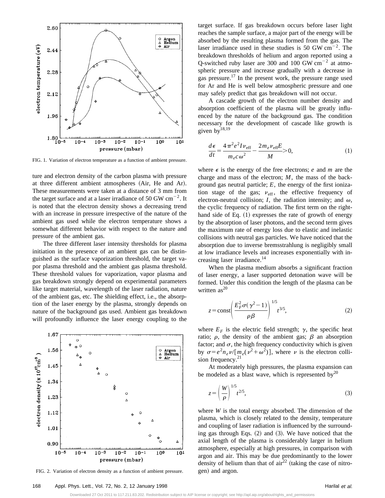

FIG. 1. Variation of electron temperature as a function of ambient pressure.

ture and electron density of the carbon plasma with pressure at three different ambient atmospheres (Air, He and Ar). These measurements were taken at a distance of 3 mm from the target surface and at a laser irradiance of 50 GW  $\text{cm}^{-2}$ . It is noted that the electron density shows a decreasing trend with an increase in pressure irrespective of the nature of the ambient gas used while the electron temperature shows a somewhat different behavior with respect to the nature and pressure of the ambient gas.

The three different laser intensity thresholds for plasma initiation in the presence of an ambient gas can be distinguished as the surface vaporization threshold, the target vapor plasma threshold and the ambient gas plasma threshold. These threshold values for vaporization, vapor plasma and gas breakdown strongly depend on experimental parameters like target material, wavelength of the laser radiation, nature of the ambient gas, etc. The shielding effect, i.e., the absorption of the laser energy by the plasma, strongly depends on nature of the background gas used. Ambient gas breakdown will profoundly influence the laser energy coupling to the



FIG. 2. Variation of electron density as a function of ambient pressure.

target surface. If gas breakdown occurs before laser light reaches the sample surface, a major part of the energy will be absorbed by the resulting plasma formed from the gas. The laser irradiance used in these studies is 50 GW  $cm^{-2}$ . The breakdown thresholds of helium and argon reported using a Q-switched ruby laser are 300 and 100 GW  $\text{cm}^{-2}$  at atmospheric pressure and increase gradually with a decrease in gas pressure.17 In the present work, the pressure range used for Ar and He is well below atmospheric pressure and one may safely predict that gas breakdown will not occur.

A cascade growth of the electron number density and absorption coefficient of the plasma will be greatly influenced by the nature of the background gas. The condition necessary for the development of cascade like growth is given  $by$ <sup>18,19</sup>

$$
\frac{d\epsilon}{dt} = \frac{4\pi^2 e^2 I \nu_{\rm eff}}{m_e c \omega^2} - \frac{2m_e \nu_{\rm eff} E}{M} > 0,
$$
\n(1)

where  $\epsilon$  is the energy of the free electrons; *e* and *m* are the charge and mass of the electron; *M*, the mass of the background gas neutral particle; *E*, the energy of the first ionization stage of the gas;  $v_{\text{eff}}$ , the effective frequency of electron-neutral collision;  $I$ , the radiation intensity; and  $\omega$ , the cyclic frequency of radiation. The first term on the righthand side of Eq.  $(1)$  expresses the rate of growth of energy by the absorption of laser photons, and the second term gives the maximum rate of energy loss due to elastic and inelastic collisions with neutral gas particles. We have noticed that the absorption due to inverse bremsstrahlung is negligibly small at low irradiance levels and increases exponentially with increasing laser irradiance.<sup>14</sup>

When the plasma medium absorbs a significant fraction of laser energy, a laser supported detonation wave will be formed. Under this condition the length of the plasma can be written  $as^{20}$ 

$$
z = \text{const} \left( \frac{E_F^2 \sigma (\gamma^2 - 1)}{\rho \beta} \right)^{1/5} t^{3/5},\tag{2}
$$

where  $E_F$  is the electric field strength;  $\gamma$ , the specific heat ratio;  $\rho$ , the density of the ambient gas;  $\beta$  an absorption factor; and  $\sigma$ , the high frequency conductivity which is given by  $\sigma = e^2 n_e \nu / [m_e(\nu^2 + \omega^2)]$ , where  $\nu$  is the electron collision frequency. $2$ 

At moderately high pressures, the plasma expansion can be modeled as a blast wave, which is represented by<sup>20</sup>

$$
z = \left(\frac{W}{\rho}\right)^{1/5} t^{2/5},\tag{3}
$$

where *W* is the total energy absorbed. The dimension of the plasma, which is closely related to the density, temperature and coupling of laser radiation is influenced by the surrounding gas through Eqs.  $(2)$  and  $(3)$ . We have noticed that the axial length of the plasma is considerably larger in helium atmosphere, especially at high pressures, in comparison with argon and air. This may be due predominantly to the lower density of helium than that of  $\arctan^{22}$  (taking the case of nitrogen) and argon.

Downloaded 27 Oct 2011 to 117.211.83.202. Redistribution subject to AIP license or copyright; see http://apl.aip.org/about/rights\_and\_permissions